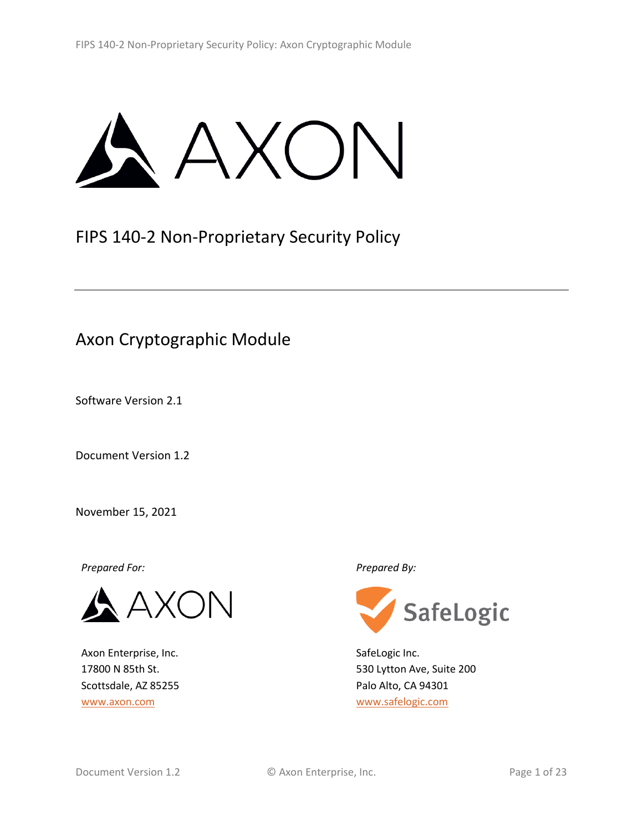**AXON** 

# FIPS 140-2 Non-Proprietary Security Policy

# Axon Cryptographic Module

Software Version 2.1

Document Version 1.2

November 15, 2021

*Prepared For: Prepared By:*

N

Axon Enterprise, Inc. 17800 N 85th St. Scottsdale, AZ 85255 [www.axon.com](http://www.axon.com/)



SafeLogic Inc. 530 Lytton Ave, Suite 200 Palo Alto, CA 94301 [www.safelogic.com](http://www.safelogic.com/)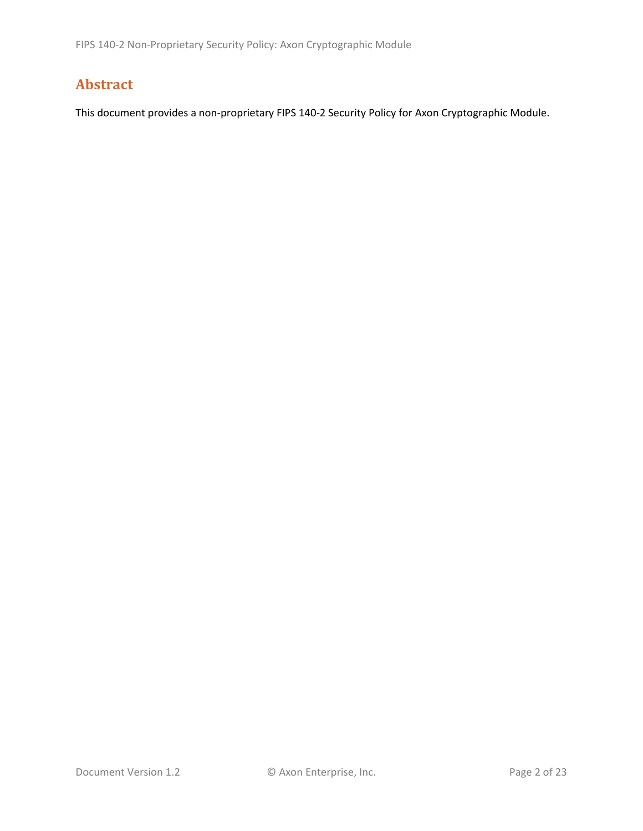# **Abstract**

This document provides a non-proprietary FIPS 140-2 Security Policy for Axon Cryptographic Module.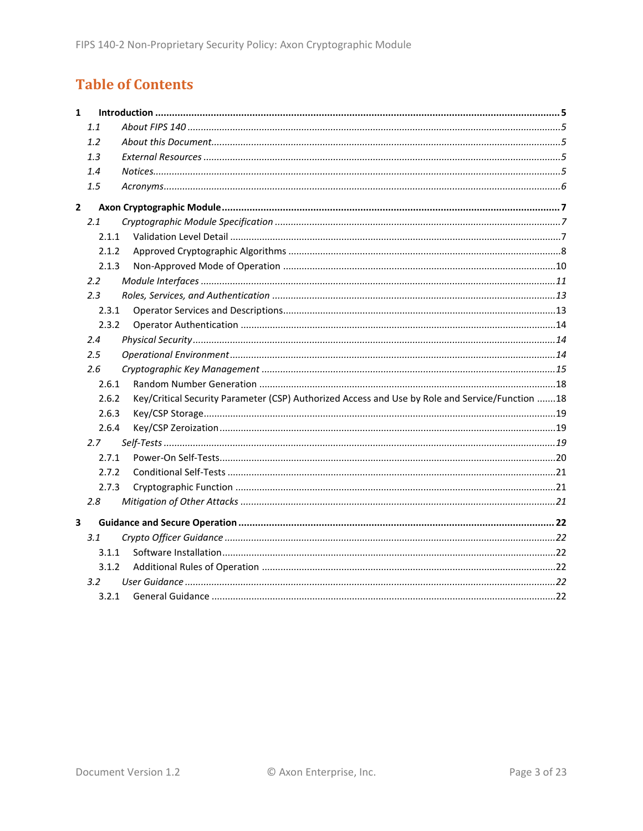# **Table of Contents**

| $\mathbf{1}$ |         |                                                                                                 |  |  |
|--------------|---------|-------------------------------------------------------------------------------------------------|--|--|
|              | 1.1     |                                                                                                 |  |  |
|              | 1.2     |                                                                                                 |  |  |
|              | 1.3     |                                                                                                 |  |  |
|              | 1.4     |                                                                                                 |  |  |
|              | 1.5     |                                                                                                 |  |  |
| $\mathbf{2}$ |         |                                                                                                 |  |  |
|              | 2.1     |                                                                                                 |  |  |
|              | 2.1.1   |                                                                                                 |  |  |
|              | 2.1.2   |                                                                                                 |  |  |
|              | 2.1.3   |                                                                                                 |  |  |
|              | 2.2     |                                                                                                 |  |  |
|              | 2.3     |                                                                                                 |  |  |
|              | 2.3.1   |                                                                                                 |  |  |
|              | 2.3.2   |                                                                                                 |  |  |
|              | 2.4     |                                                                                                 |  |  |
|              | $2.5\,$ |                                                                                                 |  |  |
|              | 2.6     |                                                                                                 |  |  |
|              | 2.6.1   |                                                                                                 |  |  |
|              | 2.6.2   | Key/Critical Security Parameter (CSP) Authorized Access and Use by Role and Service/Function 18 |  |  |
|              | 2.6.3   |                                                                                                 |  |  |
|              | 2.6.4   |                                                                                                 |  |  |
|              | 2.7     |                                                                                                 |  |  |
|              | 2.7.1   |                                                                                                 |  |  |
|              | 2.7.2   |                                                                                                 |  |  |
|              | 2.7.3   |                                                                                                 |  |  |
|              | 2.8     |                                                                                                 |  |  |
| 3            |         |                                                                                                 |  |  |
|              | 3.1     |                                                                                                 |  |  |
|              | 3.1.1   |                                                                                                 |  |  |
|              | 3.1.2   |                                                                                                 |  |  |
|              | 3.2     |                                                                                                 |  |  |
|              | 3.2.1   |                                                                                                 |  |  |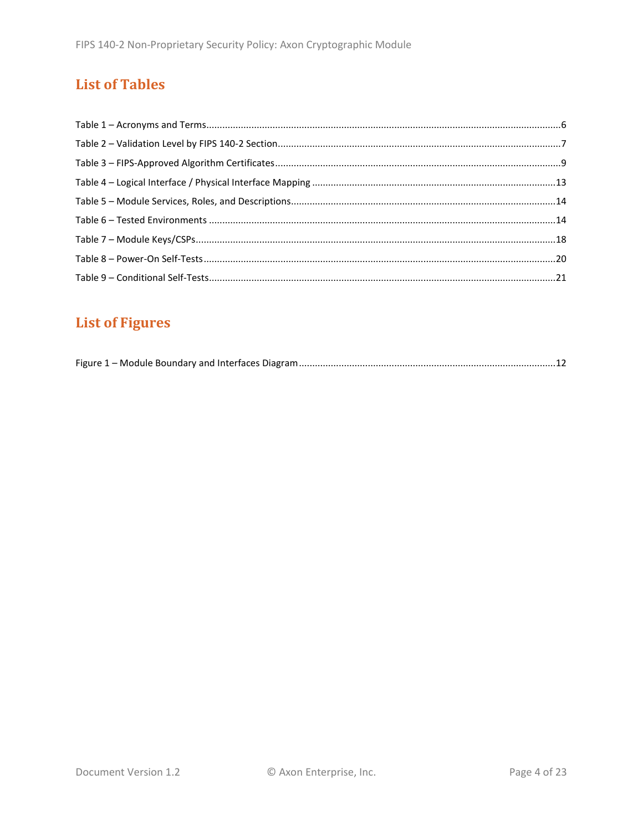# **List of Tables**

# **List of Figures**

|--|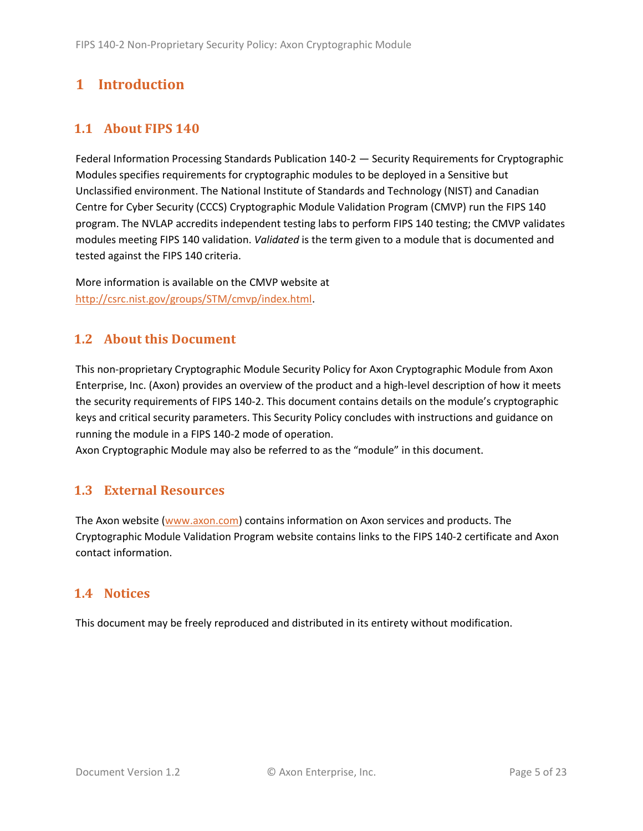# <span id="page-4-0"></span>**1 Introduction**

# <span id="page-4-1"></span>**1.1 About FIPS 140**

Federal Information Processing Standards Publication 140-2 — Security Requirements for Cryptographic Modules specifies requirements for cryptographic modules to be deployed in a Sensitive but Unclassified environment. The National Institute of Standards and Technology (NIST) and Canadian Centre for Cyber Security (CCCS) Cryptographic Module Validation Program (CMVP) run the FIPS 140 program. The NVLAP accredits independent testing labs to perform FIPS 140 testing; the CMVP validates modules meeting FIPS 140 validation. *Validated* is the term given to a module that is documented and tested against the FIPS 140 criteria.

More information is available on the CMVP website at [http://csrc.nist.gov/groups/STM/cmvp/index.html.](http://csrc.nist.gov/groups/STM/cmvp/index.html)

## <span id="page-4-2"></span>**1.2 About this Document**

This non-proprietary Cryptographic Module Security Policy for Axon Cryptographic Module from Axon Enterprise, Inc. (Axon) provides an overview of the product and a high-level description of how it meets the security requirements of FIPS 140-2. This document contains details on the module's cryptographic keys and critical security parameters. This Security Policy concludes with instructions and guidance on running the module in a FIPS 140-2 mode of operation.

Axon Cryptographic Module may also be referred to as the "module" in this document.

## <span id="page-4-3"></span>**1.3 External Resources**

The Axon website [\(www.axon.com\)](http://www.axon.com/) contains information on Axon services and products. The Cryptographic Module Validation Program website contains links to the FIPS 140-2 certificate and Axon contact information.

#### <span id="page-4-4"></span>**1.4 Notices**

This document may be freely reproduced and distributed in its entirety without modification.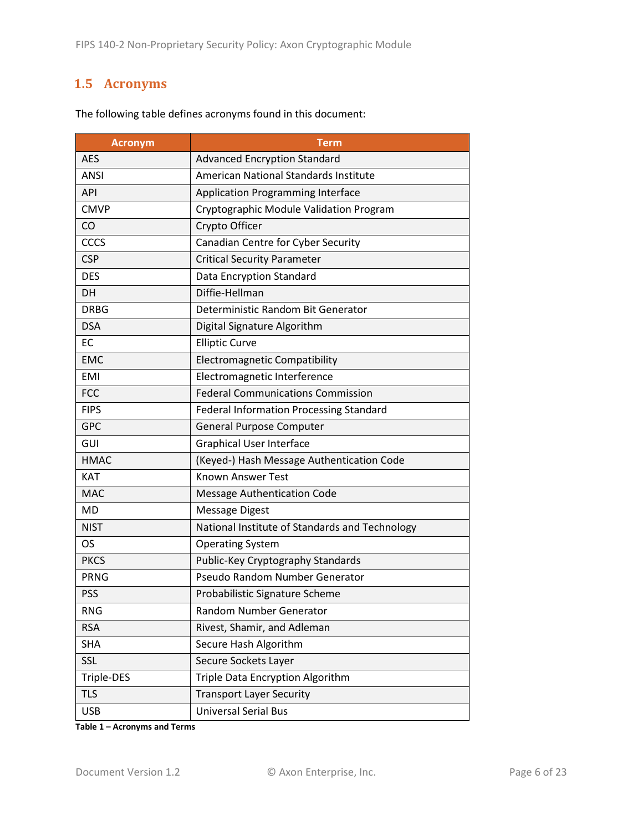# <span id="page-5-0"></span>**1.5 Acronyms**

| <b>Acronym</b> | Term                                           |
|----------------|------------------------------------------------|
| <b>AES</b>     | <b>Advanced Encryption Standard</b>            |
| <b>ANSI</b>    | American National Standards Institute          |
| API            | <b>Application Programming Interface</b>       |
| <b>CMVP</b>    | Cryptographic Module Validation Program        |
| CO             | Crypto Officer                                 |
| CCCS           | Canadian Centre for Cyber Security             |
| <b>CSP</b>     | <b>Critical Security Parameter</b>             |
| <b>DES</b>     | Data Encryption Standard                       |
| DH             | Diffie-Hellman                                 |
| <b>DRBG</b>    | Deterministic Random Bit Generator             |
| <b>DSA</b>     | Digital Signature Algorithm                    |
| <b>EC</b>      | <b>Elliptic Curve</b>                          |
| <b>EMC</b>     | <b>Electromagnetic Compatibility</b>           |
| <b>EMI</b>     | Electromagnetic Interference                   |
| <b>FCC</b>     | <b>Federal Communications Commission</b>       |
| <b>FIPS</b>    | <b>Federal Information Processing Standard</b> |
| <b>GPC</b>     | <b>General Purpose Computer</b>                |
| GUI            | <b>Graphical User Interface</b>                |
| <b>HMAC</b>    | (Keyed-) Hash Message Authentication Code      |
| <b>KAT</b>     | <b>Known Answer Test</b>                       |
| <b>MAC</b>     | <b>Message Authentication Code</b>             |
| <b>MD</b>      | <b>Message Digest</b>                          |
| <b>NIST</b>    | National Institute of Standards and Technology |
| <b>OS</b>      | <b>Operating System</b>                        |
| <b>PKCS</b>    | Public-Key Cryptography Standards              |
| <b>PRNG</b>    | Pseudo Random Number Generator                 |
| <b>PSS</b>     | Probabilistic Signature Scheme                 |
| <b>RNG</b>     | Random Number Generator                        |
| <b>RSA</b>     | Rivest, Shamir, and Adleman                    |
| <b>SHA</b>     | Secure Hash Algorithm                          |
| SSL            | Secure Sockets Layer                           |
| Triple-DES     | Triple Data Encryption Algorithm               |
| <b>TLS</b>     | <b>Transport Layer Security</b>                |
| <b>USB</b>     | <b>Universal Serial Bus</b>                    |

The following table defines acronyms found in this document:

**Table 1 – Acronyms and Terms**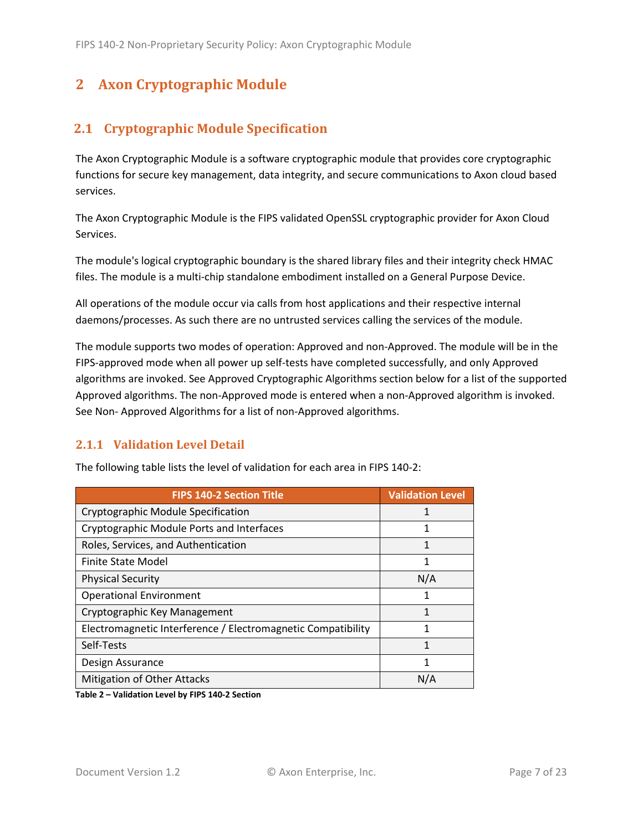# <span id="page-6-0"></span>**2 Axon Cryptographic Module**

# <span id="page-6-1"></span>**2.1 Cryptographic Module Specification**

The Axon Cryptographic Module is a software cryptographic module that provides core cryptographic functions for secure key management, data integrity, and secure communications to Axon cloud based services.

The Axon Cryptographic Module is the FIPS validated OpenSSL cryptographic provider for Axon Cloud Services.

The module's logical cryptographic boundary is the shared library files and their integrity check HMAC files. The module is a multi-chip standalone embodiment installed on a General Purpose Device.

All operations of the module occur via calls from host applications and their respective internal daemons/processes. As such there are no untrusted services calling the services of the module.

The module supports two modes of operation: Approved and non-Approved. The module will be in the FIPS-approved mode when all power up self-tests have completed successfully, and only Approved algorithms are invoked. See Approved Cryptographic Algorithms section below for a list of the supported Approved algorithms. The non-Approved mode is entered when a non-Approved algorithm is invoked. See Non- Approved Algorithms for a list of non-Approved algorithms.

#### <span id="page-6-2"></span>**2.1.1 Validation Level Detail**

| <b>FIPS 140-2 Section Title</b>                              | <b>Validation Level</b> |
|--------------------------------------------------------------|-------------------------|
| Cryptographic Module Specification                           |                         |
| Cryptographic Module Ports and Interfaces                    | 1                       |
| Roles, Services, and Authentication                          | 1                       |
| Finite State Model                                           | 1                       |
| <b>Physical Security</b>                                     | N/A                     |
| <b>Operational Environment</b>                               |                         |
| Cryptographic Key Management                                 | 1                       |
| Electromagnetic Interference / Electromagnetic Compatibility | 1                       |
| Self-Tests                                                   | 1                       |
| Design Assurance                                             | 1                       |
| <b>Mitigation of Other Attacks</b>                           | N/A                     |

The following table lists the level of validation for each area in FIPS 140-2:

**Table 2 – Validation Level by FIPS 140-2 Section**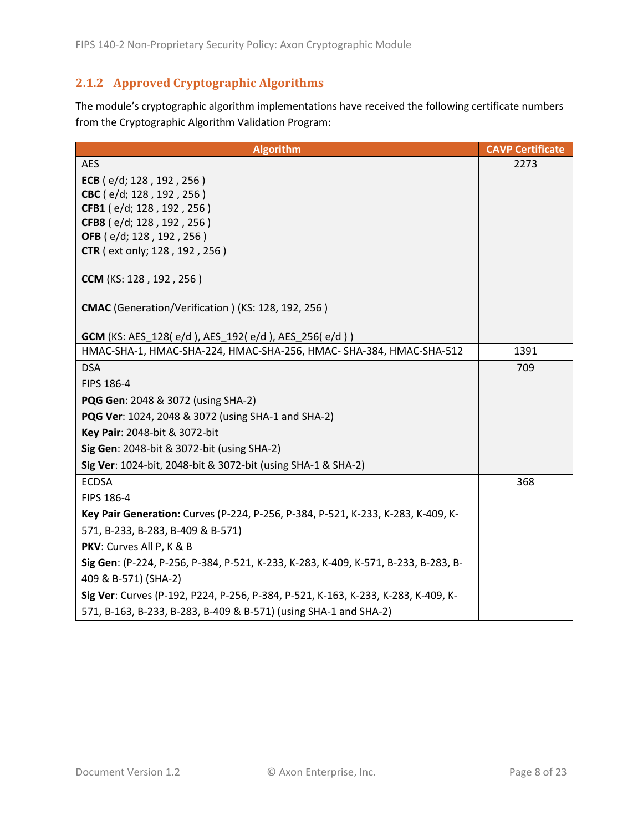# <span id="page-7-0"></span>**2.1.2 Approved Cryptographic Algorithms**

The module's cryptographic algorithm implementations have received the following certificate numbers from the Cryptographic Algorithm Validation Program:

| <b>Algorithm</b>                                                                                                                 | <b>CAVP Certificate</b> |
|----------------------------------------------------------------------------------------------------------------------------------|-------------------------|
| <b>AES</b>                                                                                                                       | 2273                    |
| ECB ( $e/d$ ; 128, 192, 256)                                                                                                     |                         |
| CBC (e/d; 128, 192, 256)                                                                                                         |                         |
| CFB1 (e/d; 128, 192, 256)                                                                                                        |                         |
| CFB8 (e/d; 128, 192, 256)                                                                                                        |                         |
| OFB (e/d; 128, 192, 256)<br><b>CTR</b> ( ext only; 128, 192, 256)                                                                |                         |
|                                                                                                                                  |                         |
| <b>CCM</b> (KS: 128, 192, 256)                                                                                                   |                         |
| CMAC (Generation/Verification) (KS: 128, 192, 256)                                                                               |                         |
|                                                                                                                                  |                         |
| <b>GCM</b> (KS: AES_128(e/d), AES_192(e/d), AES_256(e/d))<br>HMAC-SHA-1, HMAC-SHA-224, HMAC-SHA-256, HMAC- SHA-384, HMAC-SHA-512 | 1391                    |
| <b>DSA</b>                                                                                                                       | 709                     |
| FIPS 186-4                                                                                                                       |                         |
| PQG Gen: 2048 & 3072 (using SHA-2)                                                                                               |                         |
| PQG Ver: 1024, 2048 & 3072 (using SHA-1 and SHA-2)                                                                               |                         |
| Key Pair: 2048-bit & 3072-bit                                                                                                    |                         |
| Sig Gen: 2048-bit & 3072-bit (using SHA-2)                                                                                       |                         |
| Sig Ver: 1024-bit, 2048-bit & 3072-bit (using SHA-1 & SHA-2)                                                                     |                         |
| <b>ECDSA</b>                                                                                                                     | 368                     |
| FIPS 186-4                                                                                                                       |                         |
| Key Pair Generation: Curves (P-224, P-256, P-384, P-521, K-233, K-283, K-409, K-                                                 |                         |
| 571, B-233, B-283, B-409 & B-571)                                                                                                |                         |
| PKV: Curves All P, K & B                                                                                                         |                         |
| Sig Gen: (P-224, P-256, P-384, P-521, K-233, K-283, K-409, K-571, B-233, B-283, B-                                               |                         |
| 409 & B-571) (SHA-2)                                                                                                             |                         |
| Sig Ver: Curves (P-192, P224, P-256, P-384, P-521, K-163, K-233, K-283, K-409, K-                                                |                         |
| 571, B-163, B-233, B-283, B-409 & B-571) (using SHA-1 and SHA-2)                                                                 |                         |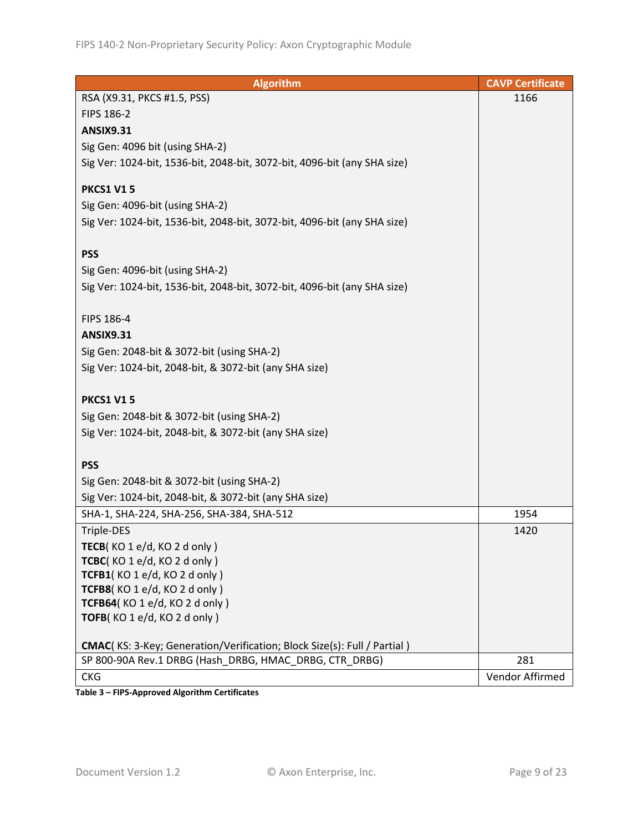| <b>Algorithm</b>                                                                | <b>CAVP Certificate</b> |
|---------------------------------------------------------------------------------|-------------------------|
| RSA (X9.31, PKCS #1.5, PSS)                                                     | 1166                    |
| FIPS 186-2                                                                      |                         |
| <b>ANSIX9.31</b>                                                                |                         |
| Sig Gen: 4096 bit (using SHA-2)                                                 |                         |
| Sig Ver: 1024-bit, 1536-bit, 2048-bit, 3072-bit, 4096-bit (any SHA size)        |                         |
|                                                                                 |                         |
| <b>PKCS1 V15</b>                                                                |                         |
| Sig Gen: 4096-bit (using SHA-2)                                                 |                         |
| Sig Ver: 1024-bit, 1536-bit, 2048-bit, 3072-bit, 4096-bit (any SHA size)        |                         |
|                                                                                 |                         |
| <b>PSS</b>                                                                      |                         |
| Sig Gen: 4096-bit (using SHA-2)                                                 |                         |
| Sig Ver: 1024-bit, 1536-bit, 2048-bit, 3072-bit, 4096-bit (any SHA size)        |                         |
|                                                                                 |                         |
| FIPS 186-4                                                                      |                         |
| <b>ANSIX9.31</b>                                                                |                         |
| Sig Gen: 2048-bit & 3072-bit (using SHA-2)                                      |                         |
| Sig Ver: 1024-bit, 2048-bit, & 3072-bit (any SHA size)                          |                         |
| <b>PKCS1 V15</b>                                                                |                         |
| Sig Gen: 2048-bit & 3072-bit (using SHA-2)                                      |                         |
| Sig Ver: 1024-bit, 2048-bit, & 3072-bit (any SHA size)                          |                         |
|                                                                                 |                         |
| <b>PSS</b>                                                                      |                         |
| Sig Gen: 2048-bit & 3072-bit (using SHA-2)                                      |                         |
| Sig Ver: 1024-bit, 2048-bit, & 3072-bit (any SHA size)                          |                         |
| SHA-1, SHA-224, SHA-256, SHA-384, SHA-512                                       | 1954                    |
| Triple-DES                                                                      | 1420                    |
| TECB( $KO 1 e/d$ , $KO 2 d only$ )                                              |                         |
| TCBC(KO 1 e/d, KO 2 d only)                                                     |                         |
| TCFB1(KO1e/d, KO2donly)                                                         |                         |
| TCFB8(KO1e/d, KO2donly)                                                         |                         |
| TCFB64(KO 1 e/d, KO 2 d only)                                                   |                         |
| TOFB(KO 1 e/d, KO 2 d only)                                                     |                         |
| <b>CMAC</b> (KS: 3-Key; Generation/Verification; Block Size(s): Full / Partial) |                         |
| SP 800-90A Rev.1 DRBG (Hash DRBG, HMAC DRBG, CTR DRBG)                          | 281                     |
| <b>CKG</b>                                                                      | Vendor Affirmed         |

**Table 3 – FIPS-Approved Algorithm Certificates**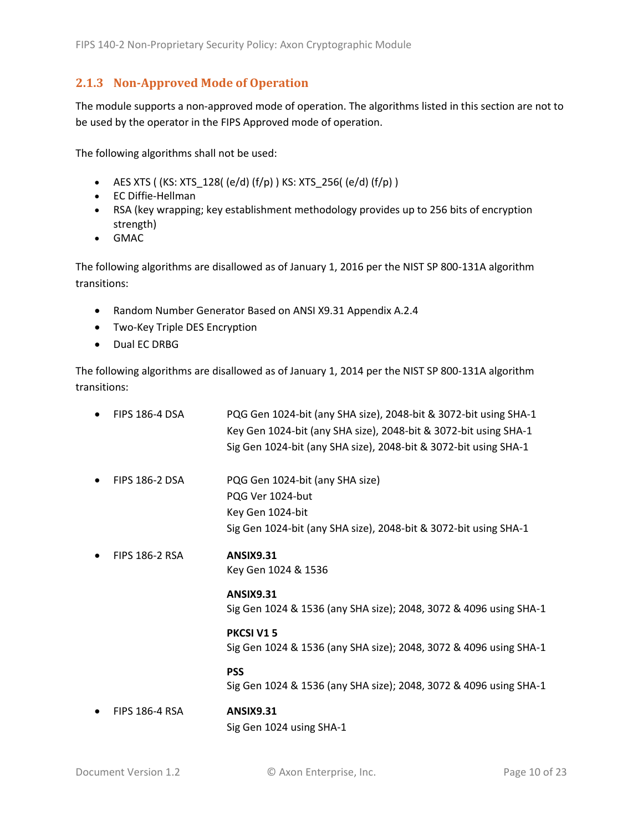#### <span id="page-9-0"></span>**2.1.3 Non-Approved Mode of Operation**

The module supports a non-approved mode of operation. The algorithms listed in this section are not to be used by the operator in the FIPS Approved mode of operation.

The following algorithms shall not be used:

- AES XTS (  $(KS: XTS_128$  (  $(e/d)$   $(f/p)$  )  $KS: XTS_256$  (  $(e/d)$   $(f/p)$  )
- EC Diffie-Hellman
- RSA (key wrapping; key establishment methodology provides up to 256 bits of encryption strength)
- GMAC

The following algorithms are disallowed as of January 1, 2016 per the NIST SP 800-131A algorithm transitions:

- Random Number Generator Based on ANSI X9.31 Appendix A.2.4
- Two-Key Triple DES Encryption
- Dual EC DRBG

The following algorithms are disallowed as of January 1, 2014 per the NIST SP 800-131A algorithm transitions:

| <b>FIPS 186-4 DSA</b> | PQG Gen 1024-bit (any SHA size), 2048-bit & 3072-bit using SHA-1<br>Key Gen 1024-bit (any SHA size), 2048-bit & 3072-bit using SHA-1<br>Sig Gen 1024-bit (any SHA size), 2048-bit & 3072-bit using SHA-1 |
|-----------------------|----------------------------------------------------------------------------------------------------------------------------------------------------------------------------------------------------------|
| <b>FIPS 186-2 DSA</b> | PQG Gen 1024-bit (any SHA size)<br>PQG Ver 1024-but<br>Key Gen 1024-bit<br>Sig Gen 1024-bit (any SHA size), 2048-bit & 3072-bit using SHA-1                                                              |
| <b>FIPS 186-2 RSA</b> | <b>ANSIX9.31</b><br>Key Gen 1024 & 1536                                                                                                                                                                  |
|                       | <b>ANSIX9.31</b><br>Sig Gen 1024 & 1536 (any SHA size); 2048, 3072 & 4096 using SHA-1                                                                                                                    |
|                       | PKCSI V15<br>Sig Gen 1024 & 1536 (any SHA size); 2048, 3072 & 4096 using SHA-1                                                                                                                           |
|                       | <b>PSS</b><br>Sig Gen 1024 & 1536 (any SHA size); 2048, 3072 & 4096 using SHA-1                                                                                                                          |
| <b>FIPS 186-4 RSA</b> | <b>ANSIX9.31</b><br>Sig Gen 1024 using SHA-1                                                                                                                                                             |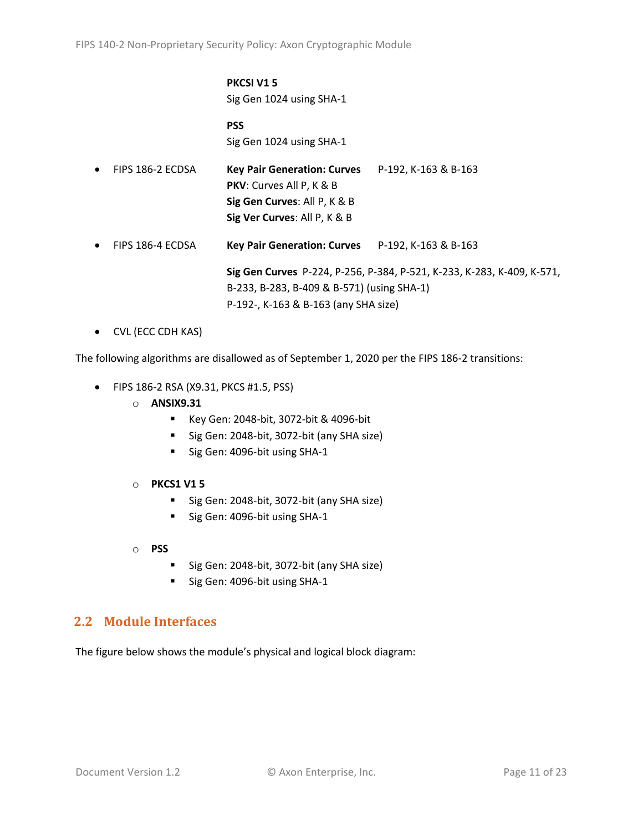#### **PKCSI V1 5** Sig Gen 1024 using SHA-1

**PSS** Sig Gen 1024 using SHA-1

| $\bullet$ | FIPS 186-2 ECDSA | <b>Key Pair Generation: Curves</b><br><b>PKV:</b> Curves All P, K & B<br>Sig Gen Curves: All P, K & B | P-192, K-163 & B-163                                                   |
|-----------|------------------|-------------------------------------------------------------------------------------------------------|------------------------------------------------------------------------|
|           |                  | Sig Ver Curves: All P, K & B                                                                          |                                                                        |
|           |                  |                                                                                                       |                                                                        |
| $\bullet$ | FIPS 186-4 ECDSA | Key Pair Generation: Curves P-192, K-163 & B-163                                                      |                                                                        |
|           |                  |                                                                                                       |                                                                        |
|           |                  |                                                                                                       | Sig Gen Curves P-224, P-256, P-384, P-521, K-233, K-283, K-409, K-571, |
|           |                  | B-233, B-283, B-409 & B-571) (using SHA-1)                                                            |                                                                        |

P-192-, K-163 & B-163 (any SHA size)

• CVL (ECC CDH KAS)

The following algorithms are disallowed as of September 1, 2020 per the FIPS 186-2 transitions:

- FIPS 186-2 RSA (X9.31, PKCS #1.5, PSS)
	- o **ANSIX9.31**
		- Key Gen: 2048-bit, 3072-bit & 4096-bit
		- Sig Gen: 2048-bit, 3072-bit (any SHA size)
		- Sig Gen: 4096-bit using SHA-1
	- o **PKCS1 V1 5**
		- Sig Gen: 2048-bit, 3072-bit (any SHA size)
		- Sig Gen: 4096-bit using SHA-1
	- o **PSS**
		- Sig Gen: 2048-bit, 3072-bit (any SHA size)
		- Sig Gen: 4096-bit using SHA-1

## <span id="page-10-0"></span>**2.2 Module Interfaces**

The figure below shows the module's physical and logical block diagram: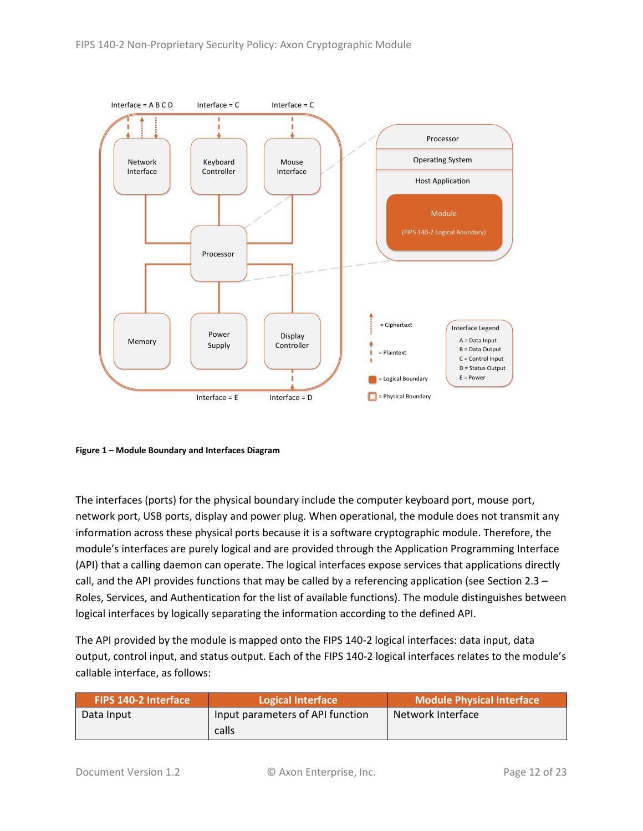

<span id="page-11-0"></span>**Figure 1 – Module Boundary and Interfaces Diagram**

The interfaces (ports) for the physical boundary include the computer keyboard port, mouse port, network port, USB ports, display and power plug. When operational, the module does not transmit any information across these physical ports because it is a software cryptographic module. Therefore, the module's interfaces are purely logical and are provided through the Application Programming Interface (API) that a calling daemon can operate. The logical interfaces expose services that applications directly call, and the API provides functions that may be called by a referencing application (see Sectio[n 2.3](#page-12-0) – [Roles, Services, and Authentication](#page-12-0) for the list of available functions). The module distinguishes between logical interfaces by logically separating the information according to the defined API.

The API provided by the module is mapped onto the FIPS 140-2 logical interfaces: data input, data output, control input, and status output. Each of the FIPS 140-2 logical interfaces relates to the module's callable interface, as follows:

| <b>FIPS 140-2 Interface</b> | Logical Interface                | <b>Module Physical Interface</b> |
|-----------------------------|----------------------------------|----------------------------------|
| Data Input                  | Input parameters of API function | Network Interface                |
|                             | calls                            |                                  |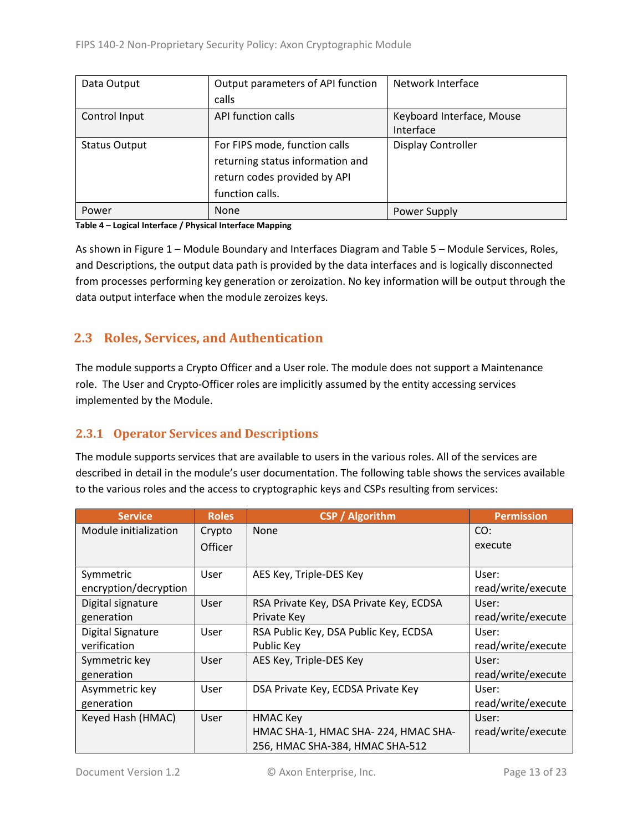| Data Output          | Output parameters of API function | Network Interface         |
|----------------------|-----------------------------------|---------------------------|
|                      | calls                             |                           |
| Control Input        | API function calls                | Keyboard Interface, Mouse |
|                      |                                   | Interface                 |
| <b>Status Output</b> | For FIPS mode, function calls     | <b>Display Controller</b> |
|                      | returning status information and  |                           |
|                      | return codes provided by API      |                           |
|                      | function calls.                   |                           |
| Power                | <b>None</b>                       | Power Supply              |

#### **Table 4 – Logical Interface / Physical Interface Mapping**

As shown in Figure 1 – [Module Boundary and Interfaces Diagram](#page-11-0) and Table 5 – Module [Services, Roles,](#page-13-3) [and Descriptions,](#page-13-3) the output data path is provided by the data interfaces and is logically disconnected from processes performing key generation or zeroization. No key information will be output through the data output interface when the module zeroizes keys.

# <span id="page-12-0"></span>**2.3 Roles, Services, and Authentication**

The module supports a Crypto Officer and a User role. The module does not support a Maintenance role. The User and Crypto-Officer roles are implicitly assumed by the entity accessing services implemented by the Module.

#### <span id="page-12-1"></span>**2.3.1 Operator Services and Descriptions**

The module supports services that are available to users in the various roles. All of the services are described in detail in the module's user documentation. The following table shows the services available to the various roles and the access to cryptographic keys and CSPs resulting from services:

| <b>Service</b>        | <b>Roles</b>   | <b>CSP</b> / Algorithm                  | <b>Permission</b>  |
|-----------------------|----------------|-----------------------------------------|--------------------|
| Module initialization | Crypto         | None                                    | CO:                |
|                       | <b>Officer</b> |                                         | execute            |
|                       |                |                                         |                    |
| Symmetric             | User           | AES Key, Triple-DES Key                 | User:              |
| encryption/decryption |                |                                         | read/write/execute |
| Digital signature     | User           | RSA Private Key, DSA Private Key, ECDSA | User:              |
| generation            |                | Private Key                             | read/write/execute |
| Digital Signature     | User           | RSA Public Key, DSA Public Key, ECDSA   | User:              |
| verification          |                | Public Key                              | read/write/execute |
| Symmetric key         | User           | AES Key, Triple-DES Key                 | User:              |
| generation            |                |                                         | read/write/execute |
| Asymmetric key        | User           | DSA Private Key, ECDSA Private Key      | User:              |
| generation            |                |                                         | read/write/execute |
| Keyed Hash (HMAC)     | User           | <b>HMAC Key</b>                         | User:              |
|                       |                | HMAC SHA-1, HMAC SHA-224, HMAC SHA-     | read/write/execute |
|                       |                | 256, HMAC SHA-384, HMAC SHA-512         |                    |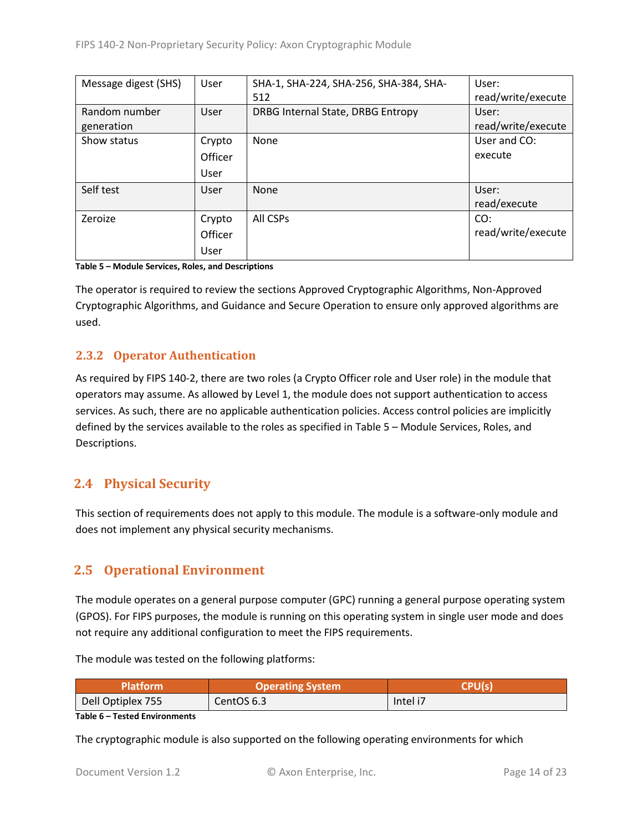| Message digest (SHS) | User    | SHA-1, SHA-224, SHA-256, SHA-384, SHA- | User:              |
|----------------------|---------|----------------------------------------|--------------------|
|                      |         | 512                                    | read/write/execute |
| Random number        | User    | DRBG Internal State, DRBG Entropy      | User:              |
| generation           |         |                                        | read/write/execute |
| Show status          | Crypto  | None                                   | User and CO:       |
|                      | Officer |                                        | execute            |
|                      | User    |                                        |                    |
| Self test            | User    | <b>None</b>                            | User:              |
|                      |         |                                        | read/execute       |
| Zeroize              | Crypto  | All CSPs                               | CO:                |
|                      | Officer |                                        | read/write/execute |
|                      | User    |                                        |                    |

<span id="page-13-3"></span>**Table 5 – Module Services, Roles, and Descriptions**

The operator is required to review the sections Approved Cryptographic Algorithms, Non-Approved Cryptographic Algorithms, and Guidance and Secure Operation to ensure only approved algorithms are used.

#### <span id="page-13-0"></span>**2.3.2 Operator Authentication**

As required by FIPS 140-2, there are two roles (a Crypto Officer role and User role) in the module that operators may assume. As allowed by Level 1, the module does not support authentication to access services. As such, there are no applicable authentication policies. Access control policies are implicitly defined by the services available to the roles as specified in Table 5 – Module [Services, Roles,](#page-13-3) and [Descriptions.](#page-13-3)

# <span id="page-13-1"></span>**2.4 Physical Security**

This section of requirements does not apply to this module. The module is a software-only module and does not implement any physical security mechanisms.

# <span id="page-13-2"></span>**2.5 Operational Environment**

The module operates on a general purpose computer (GPC) running a general purpose operating system (GPOS). For FIPS purposes, the module is running on this operating system in single user mode and does not require any additional configuration to meet the FIPS requirements.

The module was tested on the following platforms:

| Platform          | <b>Operating System</b> | <b>CPU(S)</b> |  |
|-------------------|-------------------------|---------------|--|
| Dell Optiplex 755 | CentOS 6.3              | Intel i7      |  |

**Table 6 – Tested Environments**

The cryptographic module is also supported on the following operating environments for which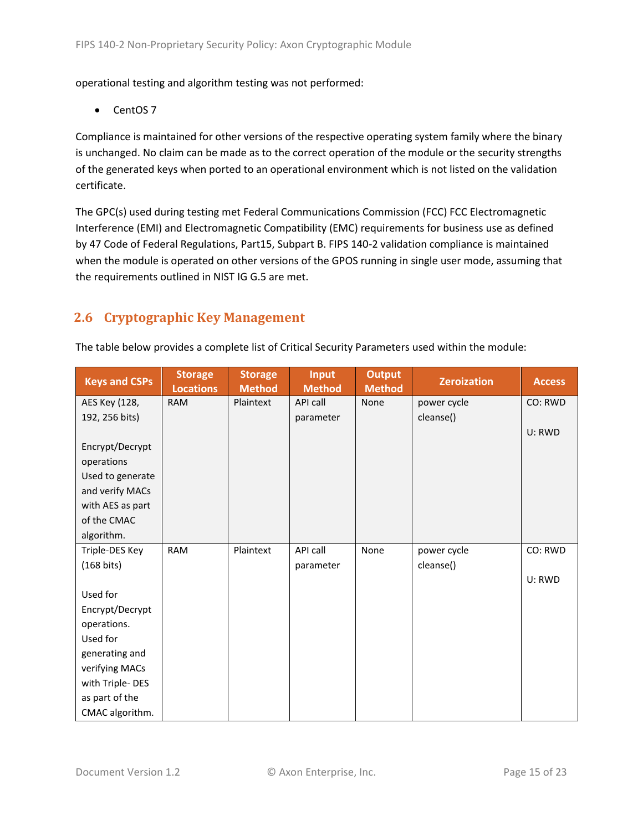operational testing and algorithm testing was not performed:

• CentOS 7

Compliance is maintained for other versions of the respective operating system family where the binary is unchanged. No claim can be made as to the correct operation of the module or the security strengths of the generated keys when ported to an operational environment which is not listed on the validation certificate.

The GPC(s) used during testing met Federal Communications Commission (FCC) FCC Electromagnetic Interference (EMI) and Electromagnetic Compatibility (EMC) requirements for business use as defined by 47 Code of Federal Regulations, Part15, Subpart B. FIPS 140-2 validation compliance is maintained when the module is operated on other versions of the GPOS running in single user mode, assuming that the requirements outlined in NIST IG G.5 are met.

# <span id="page-14-0"></span>**2.6 Cryptographic Key Management**

| The table below provides a complete list of Critical Security Parameters used within the module: |
|--------------------------------------------------------------------------------------------------|
|--------------------------------------------------------------------------------------------------|

| <b>Keys and CSPs</b> | <b>Storage</b><br><b>Locations</b> | <b>Storage</b><br><b>Method</b> | <b>Input</b><br><b>Method</b> | <b>Output</b><br><b>Method</b> | <b>Zeroization</b> | <b>Access</b> |
|----------------------|------------------------------------|---------------------------------|-------------------------------|--------------------------------|--------------------|---------------|
| AES Key (128,        | <b>RAM</b>                         | Plaintext                       | API call                      | None                           | power cycle        | CO: RWD       |
| 192, 256 bits)       |                                    |                                 | parameter                     |                                | cleanse()          |               |
|                      |                                    |                                 |                               |                                |                    | U: RWD        |
| Encrypt/Decrypt      |                                    |                                 |                               |                                |                    |               |
| operations           |                                    |                                 |                               |                                |                    |               |
| Used to generate     |                                    |                                 |                               |                                |                    |               |
| and verify MACs      |                                    |                                 |                               |                                |                    |               |
| with AES as part     |                                    |                                 |                               |                                |                    |               |
| of the CMAC          |                                    |                                 |                               |                                |                    |               |
| algorithm.           |                                    |                                 |                               |                                |                    |               |
| Triple-DES Key       | <b>RAM</b>                         | Plaintext                       | API call                      | None                           | power cycle        | CO: RWD       |
| $(168 \text{ bits})$ |                                    |                                 | parameter                     |                                | cleanse()          |               |
|                      |                                    |                                 |                               |                                |                    | U: RWD        |
| Used for             |                                    |                                 |                               |                                |                    |               |
| Encrypt/Decrypt      |                                    |                                 |                               |                                |                    |               |
| operations.          |                                    |                                 |                               |                                |                    |               |
| Used for             |                                    |                                 |                               |                                |                    |               |
| generating and       |                                    |                                 |                               |                                |                    |               |
| verifying MACs       |                                    |                                 |                               |                                |                    |               |
| with Triple-DES      |                                    |                                 |                               |                                |                    |               |
| as part of the       |                                    |                                 |                               |                                |                    |               |
| CMAC algorithm.      |                                    |                                 |                               |                                |                    |               |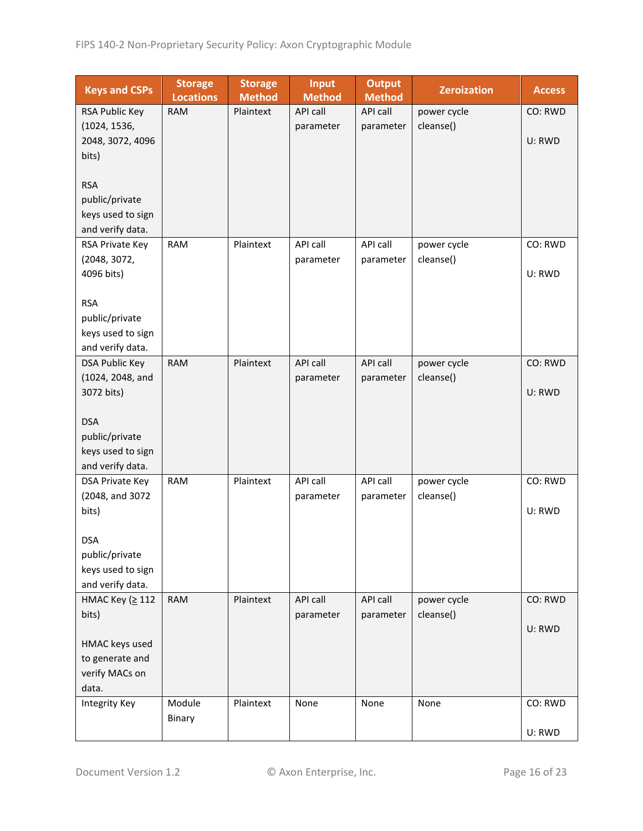| <b>Keys and CSPs</b>                | <b>Storage</b><br><b>Locations</b> | <b>Storage</b><br><b>Method</b> | <b>Input</b><br><b>Method</b> | <b>Output</b><br><b>Method</b> | <b>Zeroization</b> | <b>Access</b> |
|-------------------------------------|------------------------------------|---------------------------------|-------------------------------|--------------------------------|--------------------|---------------|
| RSA Public Key                      | <b>RAM</b>                         | Plaintext                       | <b>API call</b>               | API call                       | power cycle        | CO: RWD       |
| (1024, 1536,                        |                                    |                                 | parameter                     | parameter                      | cleanse()          |               |
| 2048, 3072, 4096                    |                                    |                                 |                               |                                |                    | U: RWD        |
| bits)                               |                                    |                                 |                               |                                |                    |               |
|                                     |                                    |                                 |                               |                                |                    |               |
| <b>RSA</b>                          |                                    |                                 |                               |                                |                    |               |
| public/private                      |                                    |                                 |                               |                                |                    |               |
| keys used to sign                   |                                    |                                 |                               |                                |                    |               |
| and verify data.                    |                                    |                                 |                               |                                |                    |               |
| RSA Private Key                     | <b>RAM</b>                         | Plaintext                       | API call                      | API call                       | power cycle        | CO: RWD       |
| (2048, 3072,                        |                                    |                                 | parameter                     | parameter                      | cleanse()          |               |
| 4096 bits)                          |                                    |                                 |                               |                                |                    | U: RWD        |
|                                     |                                    |                                 |                               |                                |                    |               |
| <b>RSA</b>                          |                                    |                                 |                               |                                |                    |               |
| public/private<br>keys used to sign |                                    |                                 |                               |                                |                    |               |
| and verify data.                    |                                    |                                 |                               |                                |                    |               |
| <b>DSA Public Key</b>               | <b>RAM</b>                         | Plaintext                       | <b>API call</b>               | API call                       | power cycle        | CO: RWD       |
| (1024, 2048, and                    |                                    |                                 | parameter                     | parameter                      | cleanse()          |               |
| 3072 bits)                          |                                    |                                 |                               |                                |                    | U: RWD        |
|                                     |                                    |                                 |                               |                                |                    |               |
| <b>DSA</b>                          |                                    |                                 |                               |                                |                    |               |
| public/private                      |                                    |                                 |                               |                                |                    |               |
| keys used to sign                   |                                    |                                 |                               |                                |                    |               |
| and verify data.                    |                                    |                                 |                               |                                |                    |               |
| DSA Private Key                     | <b>RAM</b>                         | Plaintext                       | API call                      | API call                       | power cycle        | CO: RWD       |
| (2048, and 3072                     |                                    |                                 | parameter                     | parameter                      | cleanse()          |               |
| bits)                               |                                    |                                 |                               |                                |                    | U: RWD        |
|                                     |                                    |                                 |                               |                                |                    |               |
| <b>DSA</b>                          |                                    |                                 |                               |                                |                    |               |
| public/private                      |                                    |                                 |                               |                                |                    |               |
| keys used to sign                   |                                    |                                 |                               |                                |                    |               |
| and verify data.                    |                                    |                                 |                               |                                |                    |               |
| HMAC Key (≥ 112                     | <b>RAM</b>                         | Plaintext                       | API call                      | API call                       | power cycle        | CO: RWD       |
| bits)                               |                                    |                                 | parameter                     | parameter                      | cleanse()          |               |
| HMAC keys used                      |                                    |                                 |                               |                                |                    | U: RWD        |
| to generate and                     |                                    |                                 |                               |                                |                    |               |
| verify MACs on                      |                                    |                                 |                               |                                |                    |               |
| data.                               |                                    |                                 |                               |                                |                    |               |
| <b>Integrity Key</b>                | Module                             | Plaintext                       | None                          | None                           | None               | CO: RWD       |
|                                     | Binary                             |                                 |                               |                                |                    |               |
|                                     |                                    |                                 |                               |                                |                    | U: RWD        |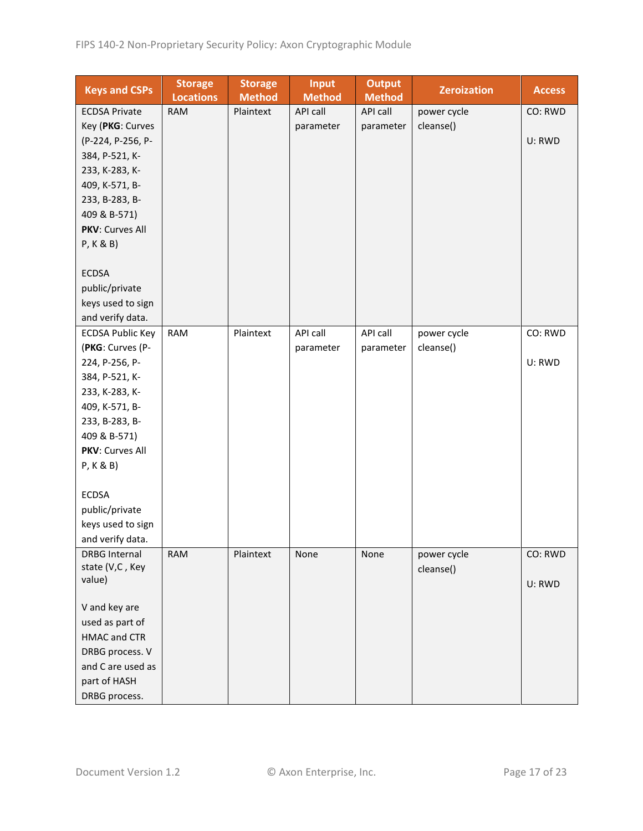| <b>Keys and CSPs</b>    | <b>Storage</b><br><b>Locations</b> | <b>Storage</b><br><b>Method</b> | <b>Input</b><br><b>Method</b> | <b>Output</b><br><b>Method</b> | <b>Zeroization</b> | <b>Access</b> |
|-------------------------|------------------------------------|---------------------------------|-------------------------------|--------------------------------|--------------------|---------------|
| <b>ECDSA Private</b>    | <b>RAM</b>                         | Plaintext                       | API call                      | API call                       | power cycle        | CO: RWD       |
| Key (PKG: Curves        |                                    |                                 | parameter                     | parameter                      | cleanse()          |               |
| (P-224, P-256, P-       |                                    |                                 |                               |                                |                    | U: RWD        |
| 384, P-521, K-          |                                    |                                 |                               |                                |                    |               |
| 233, K-283, K-          |                                    |                                 |                               |                                |                    |               |
| 409, K-571, B-          |                                    |                                 |                               |                                |                    |               |
| 233, B-283, B-          |                                    |                                 |                               |                                |                    |               |
| 409 & B-571)            |                                    |                                 |                               |                                |                    |               |
| PKV: Curves All         |                                    |                                 |                               |                                |                    |               |
| P, K & B)               |                                    |                                 |                               |                                |                    |               |
|                         |                                    |                                 |                               |                                |                    |               |
| <b>ECDSA</b>            |                                    |                                 |                               |                                |                    |               |
| public/private          |                                    |                                 |                               |                                |                    |               |
| keys used to sign       |                                    |                                 |                               |                                |                    |               |
| and verify data.        |                                    |                                 |                               |                                |                    |               |
| <b>ECDSA Public Key</b> | <b>RAM</b>                         | Plaintext                       | API call                      | API call                       | power cycle        | CO: RWD       |
| (PKG: Curves (P-        |                                    |                                 | parameter                     | parameter                      | cleanse()          |               |
| 224, P-256, P-          |                                    |                                 |                               |                                |                    | U: RWD        |
| 384, P-521, K-          |                                    |                                 |                               |                                |                    |               |
| 233, K-283, K-          |                                    |                                 |                               |                                |                    |               |
| 409, K-571, B-          |                                    |                                 |                               |                                |                    |               |
| 233, B-283, B-          |                                    |                                 |                               |                                |                    |               |
| 409 & B-571)            |                                    |                                 |                               |                                |                    |               |
| PKV: Curves All         |                                    |                                 |                               |                                |                    |               |
| P, K & B)               |                                    |                                 |                               |                                |                    |               |
|                         |                                    |                                 |                               |                                |                    |               |
| <b>ECDSA</b>            |                                    |                                 |                               |                                |                    |               |
| public/private          |                                    |                                 |                               |                                |                    |               |
| keys used to sign       |                                    |                                 |                               |                                |                    |               |
| and verify data.        |                                    |                                 |                               |                                |                    |               |
| <b>DRBG Internal</b>    | <b>RAM</b>                         | Plaintext                       | None                          | None                           | power cycle        | CO: RWD       |
| state (V,C, Key         |                                    |                                 |                               |                                | cleanse()          |               |
| value)                  |                                    |                                 |                               |                                |                    | U: RWD        |
| V and key are           |                                    |                                 |                               |                                |                    |               |
| used as part of         |                                    |                                 |                               |                                |                    |               |
| <b>HMAC and CTR</b>     |                                    |                                 |                               |                                |                    |               |
| DRBG process. V         |                                    |                                 |                               |                                |                    |               |
| and C are used as       |                                    |                                 |                               |                                |                    |               |
| part of HASH            |                                    |                                 |                               |                                |                    |               |
|                         |                                    |                                 |                               |                                |                    |               |
| DRBG process.           |                                    |                                 |                               |                                |                    |               |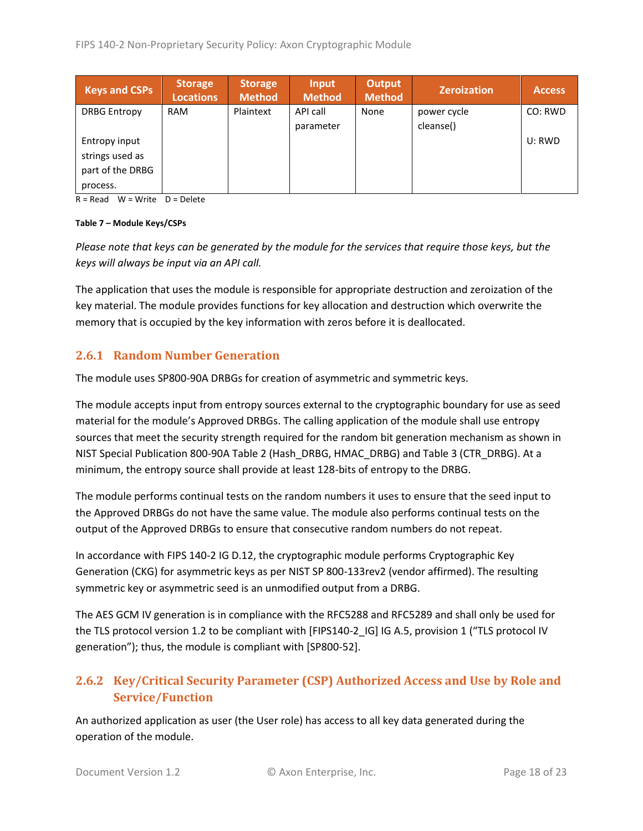| <b>Keys and CSPs</b> | <b>Storage</b><br><b>Locations</b> | <b>Storage</b><br><b>Method</b> | Input<br><b>Method</b> | <b>Output</b><br><b>Method</b> | <b>Zeroization</b> | <b>Access</b> |
|----------------------|------------------------------------|---------------------------------|------------------------|--------------------------------|--------------------|---------------|
| <b>DRBG Entropy</b>  | <b>RAM</b>                         | Plaintext                       | API call               | None                           | power cycle        | CO: RWD       |
|                      |                                    |                                 | parameter              |                                | cleanse()          |               |
| Entropy input        |                                    |                                 |                        |                                |                    | U: RWD        |
| strings used as      |                                    |                                 |                        |                                |                    |               |
| part of the DRBG     |                                    |                                 |                        |                                |                    |               |
| process.             |                                    |                                 |                        |                                |                    |               |

 $R = Read$  W = Write D = Delete

#### **Table 7 – Module Keys/CSPs**

*Please note that keys can be generated by the module for the services that require those keys, but the keys will always be input via an API call.*

The application that uses the module is responsible for appropriate destruction and zeroization of the key material. The module provides functions for key allocation and destruction which overwrite the memory that is occupied by the key information with zeros before it is deallocated.

#### <span id="page-17-0"></span>**2.6.1 Random Number Generation**

The module uses SP800-90A DRBGs for creation of asymmetric and symmetric keys.

The module accepts input from entropy sources external to the cryptographic boundary for use as seed material for the module's Approved DRBGs. The calling application of the module shall use entropy sources that meet the security strength required for the random bit generation mechanism as shown in NIST Special Publication 800-90A Table 2 (Hash\_DRBG, HMAC\_DRBG) and Table 3 (CTR\_DRBG). At a minimum, the entropy source shall provide at least 128-bits of entropy to the DRBG.

The module performs continual tests on the random numbers it uses to ensure that the seed input to the Approved DRBGs do not have the same value. The module also performs continual tests on the output of the Approved DRBGs to ensure that consecutive random numbers do not repeat.

In accordance with FIPS 140-2 IG D.12, the cryptographic module performs Cryptographic Key Generation (CKG) for asymmetric keys as per NIST SP 800-133rev2 (vendor affirmed). The resulting symmetric key or asymmetric seed is an unmodified output from a DRBG.

The AES GCM IV generation is in compliance with the RFC5288 and RFC5289 and shall only be used for the TLS protocol version 1.2 to be compliant with [FIPS140-2\_IG] IG A.5, provision 1 ("TLS protocol IV generation"); thus, the module is compliant with [SP800-52].

# <span id="page-17-1"></span>**2.6.2 Key/Critical Security Parameter (CSP) Authorized Access and Use by Role and Service/Function**

An authorized application as user (the User role) has access to all key data generated during the operation of the module.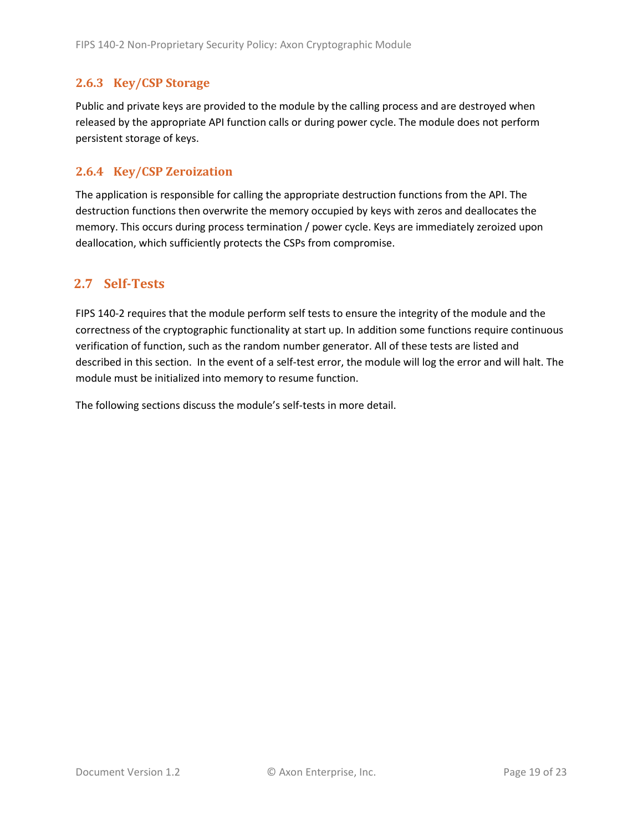#### <span id="page-18-0"></span>**2.6.3 Key/CSP Storage**

Public and private keys are provided to the module by the calling process and are destroyed when released by the appropriate API function calls or during power cycle. The module does not perform persistent storage of keys.

#### <span id="page-18-1"></span>**2.6.4 Key/CSP Zeroization**

The application is responsible for calling the appropriate destruction functions from the API. The destruction functions then overwrite the memory occupied by keys with zeros and deallocates the memory. This occurs during process termination / power cycle. Keys are immediately zeroized upon deallocation, which sufficiently protects the CSPs from compromise.

## <span id="page-18-2"></span>**2.7 Self-Tests**

FIPS 140-2 requires that the module perform self tests to ensure the integrity of the module and the correctness of the cryptographic functionality at start up. In addition some functions require continuous verification of function, such as the random number generator. All of these tests are listed and described in this section. In the event of a self-test error, the module will log the error and will halt. The module must be initialized into memory to resume function.

The following sections discuss the module's self-tests in more detail.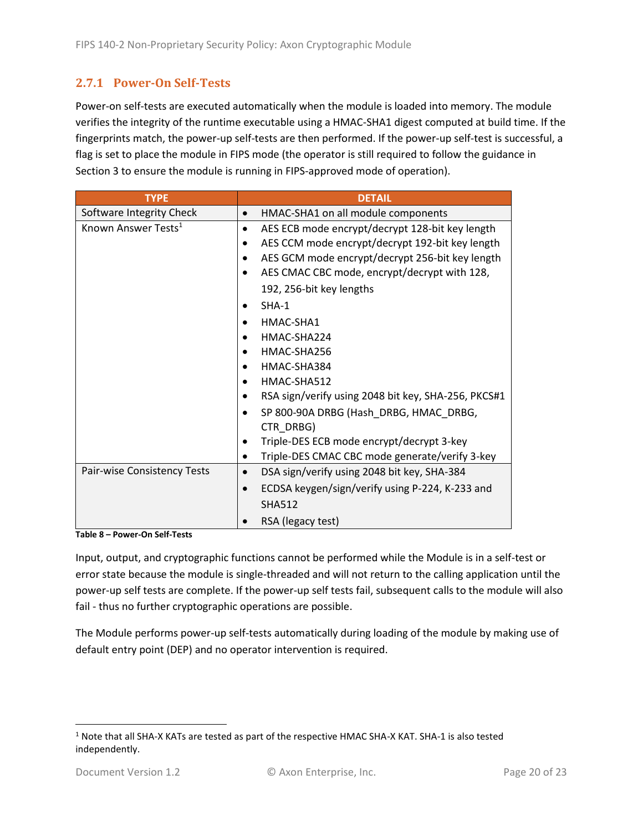## <span id="page-19-0"></span>**2.7.1 Power-On Self-Tests**

Power-on self-tests are executed automatically when the module is loaded into memory. The module verifies the integrity of the runtime executable using a HMAC-SHA1 digest computed at build time. If the fingerprints match, the power-up self-tests are then performed. If the power-up self-test is successful, a flag is set to place the module in FIPS mode (the operator is still required to follow the guidance in Section 3 to ensure the module is running in FIPS-approved mode of operation).

| <b>TYPE</b>                     | <b>DETAIL</b>                                            |
|---------------------------------|----------------------------------------------------------|
| Software Integrity Check        | HMAC-SHA1 on all module components<br>$\bullet$          |
| Known Answer Tests <sup>1</sup> | AES ECB mode encrypt/decrypt 128-bit key length          |
|                                 | AES CCM mode encrypt/decrypt 192-bit key length          |
|                                 | AES GCM mode encrypt/decrypt 256-bit key length          |
|                                 | AES CMAC CBC mode, encrypt/decrypt with 128,             |
|                                 | 192, 256-bit key lengths                                 |
|                                 | $SHA-1$                                                  |
|                                 | HMAC-SHA1                                                |
|                                 | HMAC-SHA224                                              |
|                                 | HMAC-SHA256                                              |
|                                 | HMAC-SHA384                                              |
|                                 | HMAC-SHA512                                              |
|                                 | RSA sign/verify using 2048 bit key, SHA-256, PKCS#1      |
|                                 | SP 800-90A DRBG (Hash DRBG, HMAC DRBG,                   |
|                                 | CTR DRBG)                                                |
|                                 | Triple-DES ECB mode encrypt/decrypt 3-key                |
|                                 | Triple-DES CMAC CBC mode generate/verify 3-key           |
| Pair-wise Consistency Tests     | DSA sign/verify using 2048 bit key, SHA-384<br>$\bullet$ |
|                                 | ECDSA keygen/sign/verify using P-224, K-233 and          |
|                                 | <b>SHA512</b>                                            |
|                                 | RSA (legacy test)                                        |

**Table 8 – Power-On Self-Tests**

Input, output, and cryptographic functions cannot be performed while the Module is in a self-test or error state because the module is single-threaded and will not return to the calling application until the power-up self tests are complete. If the power-up self tests fail, subsequent calls to the module will also fail - thus no further cryptographic operations are possible.

The Module performs power-up self-tests automatically during loading of the module by making use of default entry point (DEP) and no operator intervention is required.

<sup>1</sup> Note that all SHA-X KATs are tested as part of the respective HMAC SHA-X KAT. SHA-1 is also tested independently.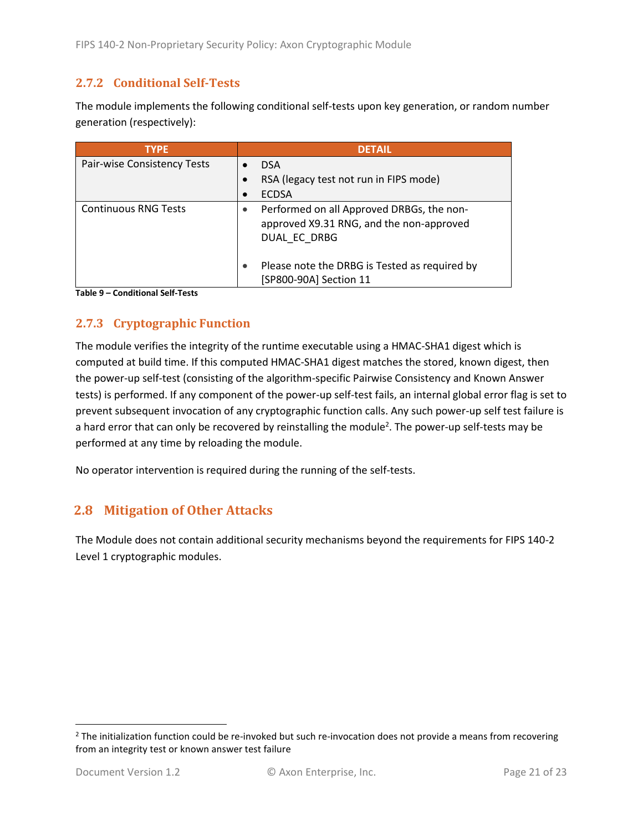#### <span id="page-20-0"></span>**2.7.2 Conditional Self-Tests**

The module implements the following conditional self-tests upon key generation, or random number generation (respectively):

| <b>TYPE</b>                 | <b>DETAIL</b>                                                                                         |
|-----------------------------|-------------------------------------------------------------------------------------------------------|
| Pair-wise Consistency Tests | <b>DSA</b>                                                                                            |
|                             | RSA (legacy test not run in FIPS mode)                                                                |
|                             | <b>ECDSA</b>                                                                                          |
| <b>Continuous RNG Tests</b> | Performed on all Approved DRBGs, the non-<br>approved X9.31 RNG, and the non-approved<br>DUAL EC DRBG |
|                             | Please note the DRBG is Tested as required by<br>[SP800-90A] Section 11                               |

**Table 9 – Conditional Self-Tests**

#### <span id="page-20-1"></span>**2.7.3 Cryptographic Function**

The module verifies the integrity of the runtime executable using a HMAC-SHA1 digest which is computed at build time. If this computed HMAC-SHA1 digest matches the stored, known digest, then the power-up self-test (consisting of the algorithm-specific Pairwise Consistency and Known Answer tests) is performed. If any component of the power-up self-test fails, an internal global error flag is set to prevent subsequent invocation of any cryptographic function calls. Any such power-up self test failure is a hard error that can only be recovered by reinstalling the module<sup>2</sup>. The power-up self-tests may be performed at any time by reloading the module.

No operator intervention is required during the running of the self-tests.

## <span id="page-20-2"></span>**2.8 Mitigation of Other Attacks**

The Module does not contain additional security mechanisms beyond the requirements for FIPS 140-2 Level 1 cryptographic modules.

 $2$  The initialization function could be re-invoked but such re-invocation does not provide a means from recovering from an integrity test or known answer test failure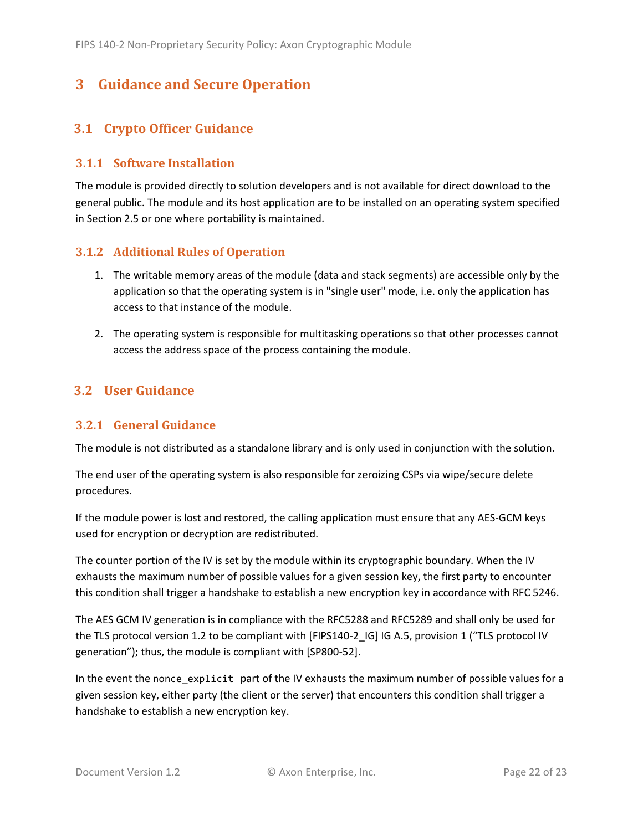# <span id="page-21-0"></span>**3 Guidance and Secure Operation**

## <span id="page-21-1"></span>**3.1 Crypto Officer Guidance**

#### <span id="page-21-2"></span>**3.1.1 Software Installation**

The module is provided directly to solution developers and is not available for direct download to the general public. The module and its host application are to be installed on an operating system specified in Section [2.5](#page-13-2) or one where portability is maintained.

#### <span id="page-21-3"></span>**3.1.2 Additional Rules of Operation**

- 1. The writable memory areas of the module (data and stack segments) are accessible only by the application so that the operating system is in "single user" mode, i.e. only the application has access to that instance of the module.
- 2. The operating system is responsible for multitasking operations so that other processes cannot access the address space of the process containing the module.

#### <span id="page-21-4"></span>**3.2 User Guidance**

#### <span id="page-21-5"></span>**3.2.1 General Guidance**

The module is not distributed as a standalone library and is only used in conjunction with the solution.

The end user of the operating system is also responsible for zeroizing CSPs via wipe/secure delete procedures.

If the module power is lost and restored, the calling application must ensure that any AES-GCM keys used for encryption or decryption are redistributed.

The counter portion of the IV is set by the module within its cryptographic boundary. When the IV exhausts the maximum number of possible values for a given session key, the first party to encounter this condition shall trigger a handshake to establish a new encryption key in accordance with RFC 5246.

The AES GCM IV generation is in compliance with the RFC5288 and RFC5289 and shall only be used for the TLS protocol version 1.2 to be compliant with [FIPS140-2 IG] IG A.5, provision 1 ("TLS protocol IV generation"); thus, the module is compliant with [SP800-52].

In the event the nonce\_explicit part of the IV exhausts the maximum number of possible values for a given session key, either party (the client or the server) that encounters this condition shall trigger a handshake to establish a new encryption key.